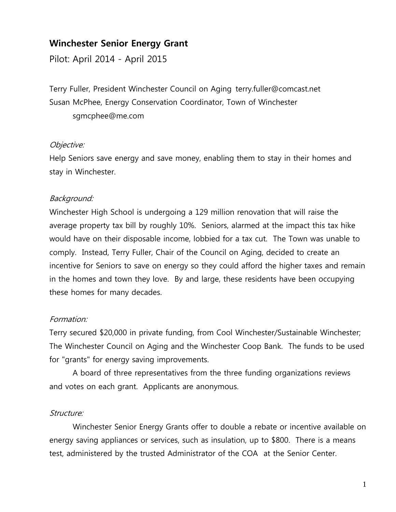# **Winchester Senior Energy Grant**

Pilot: April 2014 - April 2015

Terry Fuller, President Winchester Council on Aging terry.fuller@comcast.net Susan McPhee, Energy Conservation Coordinator, Town of Winchester sgmcphee@me.com

## Objective:

Help Seniors save energy and save money, enabling them to stay in their homes and stay in Winchester.

## Background:

Winchester High School is undergoing a 129 million renovation that will raise the average property tax bill by roughly 10%. Seniors, alarmed at the impact this tax hike would have on their disposable income, lobbied for a tax cut. The Town was unable to comply. Instead, Terry Fuller, Chair of the Council on Aging, decided to create an incentive for Seniors to save on energy so they could afford the higher taxes and remain in the homes and town they love. By and large, these residents have been occupying these homes for many decades.

## Formation:

Terry secured \$20,000 in private funding, from Cool Winchester/Sustainable Winchester; The Winchester Council on Aging and the Winchester Coop Bank. The funds to be used for "grants" for energy saving improvements.

A board of three representatives from the three funding organizations reviews and votes on each grant. Applicants are anonymous.

## Structure:

Winchester Senior Energy Grants offer to double a rebate or incentive available on energy saving appliances or services, such as insulation, up to \$800. There is a means test, administered by the trusted Administrator of the COA at the Senior Center.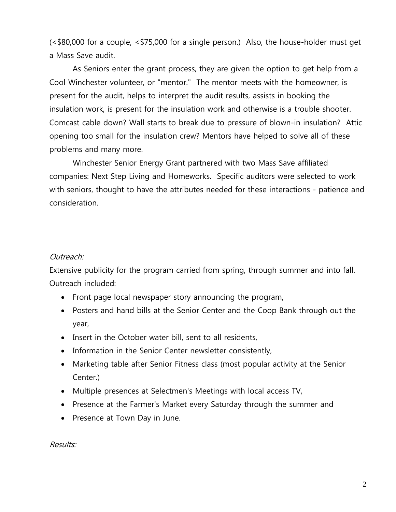(<\$80,000 for a couple, <\$75,000 for a single person.) Also, the house-holder must get a Mass Save audit.

As Seniors enter the grant process, they are given the option to get help from a Cool Winchester volunteer, or "mentor." The mentor meets with the homeowner, is present for the audit, helps to interpret the audit results, assists in booking the insulation work, is present for the insulation work and otherwise is a trouble shooter. Comcast cable down? Wall starts to break due to pressure of blown-in insulation? Attic opening too small for the insulation crew? Mentors have helped to solve all of these problems and many more.

Winchester Senior Energy Grant partnered with two Mass Save affiliated companies: Next Step Living and Homeworks. Specific auditors were selected to work with seniors, thought to have the attributes needed for these interactions - patience and consideration.

#### Outreach:

Extensive publicity for the program carried from spring, through summer and into fall. Outreach included:

- Front page local newspaper story announcing the program,
- Posters and hand bills at the Senior Center and the Coop Bank through out the year,
- Insert in the October water bill, sent to all residents,
- Information in the Senior Center newsletter consistently,
- Marketing table after Senior Fitness class (most popular activity at the Senior Center.)
- Multiple presences at Selectmen's Meetings with local access TV,
- Presence at the Farmer's Market every Saturday through the summer and
- Presence at Town Day in June.

Results: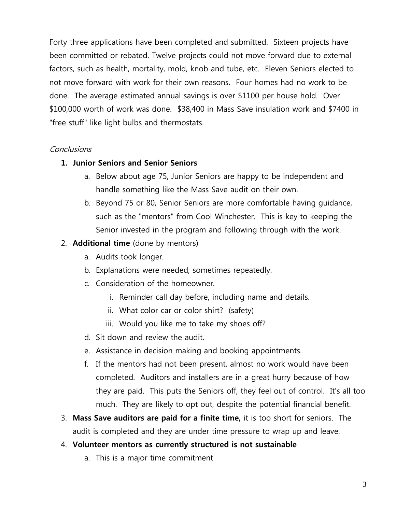Forty three applications have been completed and submitted. Sixteen projects have been committed or rebated. Twelve projects could not move forward due to external factors, such as health, mortality, mold, knob and tube, etc. Eleven Seniors elected to not move forward with work for their own reasons. Four homes had no work to be done. The average estimated annual savings is over \$1100 per house hold. Over \$100,000 worth of work was done. \$38,400 in Mass Save insulation work and \$7400 in "free stuff" like light bulbs and thermostats.

## **Conclusions**

#### **1. Junior Seniors and Senior Seniors**

- a. Below about age 75, Junior Seniors are happy to be independent and handle something like the Mass Save audit on their own.
- b. Beyond 75 or 80, Senior Seniors are more comfortable having guidance, such as the "mentors" from Cool Winchester. This is key to keeping the Senior invested in the program and following through with the work.

## 2. **Additional time** (done by mentors)

- a. Audits took longer.
- b. Explanations were needed, sometimes repeatedly.
- c. Consideration of the homeowner.
	- i. Reminder call day before, including name and details.
	- ii. What color car or color shirt? (safety)
	- iii. Would you like me to take my shoes off?
- d. Sit down and review the audit.
- e. Assistance in decision making and booking appointments.
- f. If the mentors had not been present, almost no work would have been completed. Auditors and installers are in a great hurry because of how they are paid. This puts the Seniors off, they feel out of control. It's all too much. They are likely to opt out, despite the potential financial benefit.
- 3. **Mass Save auditors are paid for a finite time,** it is too short for seniors. The audit is completed and they are under time pressure to wrap up and leave.

#### 4. **Volunteer mentors as currently structured is not sustainable**

a. This is a major time commitment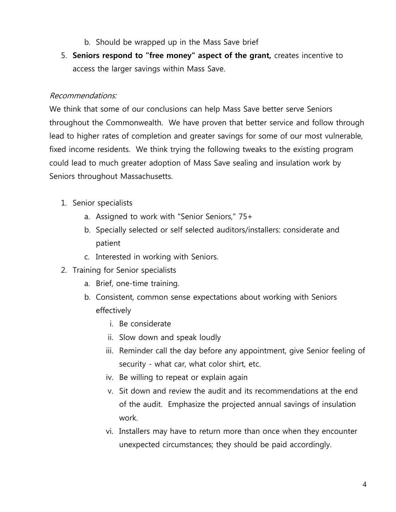- b. Should be wrapped up in the Mass Save brief
- 5. **Seniors respond to "free money" aspect of the grant,** creates incentive to access the larger savings within Mass Save.

## Recommendations:

We think that some of our conclusions can help Mass Save better serve Seniors throughout the Commonwealth. We have proven that better service and follow through lead to higher rates of completion and greater savings for some of our most vulnerable, fixed income residents. We think trying the following tweaks to the existing program could lead to much greater adoption of Mass Save sealing and insulation work by Seniors throughout Massachusetts.

- 1. Senior specialists
	- a. Assigned to work with "Senior Seniors," 75+
	- b. Specially selected or self selected auditors/installers: considerate and patient
	- c. Interested in working with Seniors.
- 2. Training for Senior specialists
	- a. Brief, one-time training.
	- b. Consistent, common sense expectations about working with Seniors effectively
		- i. Be considerate
		- ii. Slow down and speak loudly
		- iii. Reminder call the day before any appointment, give Senior feeling of security - what car, what color shirt, etc.
		- iv. Be willing to repeat or explain again
		- v. Sit down and review the audit and its recommendations at the end of the audit. Emphasize the projected annual savings of insulation work.
		- vi. Installers may have to return more than once when they encounter unexpected circumstances; they should be paid accordingly.